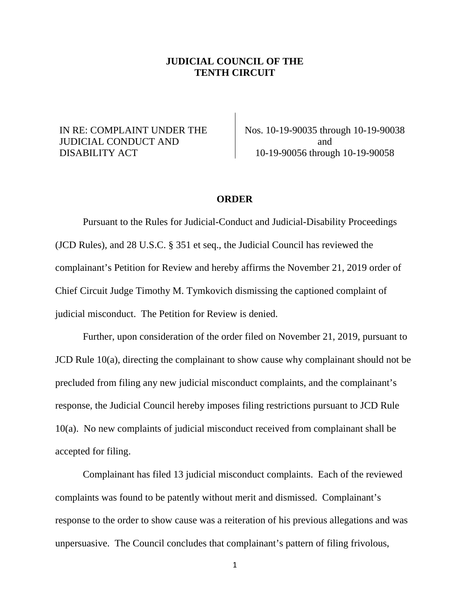## **JUDICIAL COUNCIL OF THE TENTH CIRCUIT**

## IN RE: COMPLAINT UNDER THE JUDICIAL CONDUCT AND DISABILITY ACT

Nos. 10-19-90035 through 10-19-90038 and 10-19-90056 through 10-19-90058

## **ORDER**

Pursuant to the Rules for Judicial-Conduct and Judicial-Disability Proceedings (JCD Rules), and 28 U.S.C. § 351 et seq., the Judicial Council has reviewed the complainant's Petition for Review and hereby affirms the November 21, 2019 order of Chief Circuit Judge Timothy M. Tymkovich dismissing the captioned complaint of judicial misconduct. The Petition for Review is denied.

Further, upon consideration of the order filed on November 21, 2019, pursuant to JCD Rule 10(a), directing the complainant to show cause why complainant should not be precluded from filing any new judicial misconduct complaints, and the complainant's response, the Judicial Council hereby imposes filing restrictions pursuant to JCD Rule 10(a). No new complaints of judicial misconduct received from complainant shall be accepted for filing.

Complainant has filed 13 judicial misconduct complaints. Each of the reviewed complaints was found to be patently without merit and dismissed. Complainant's response to the order to show cause was a reiteration of his previous allegations and was unpersuasive. The Council concludes that complainant's pattern of filing frivolous,

1